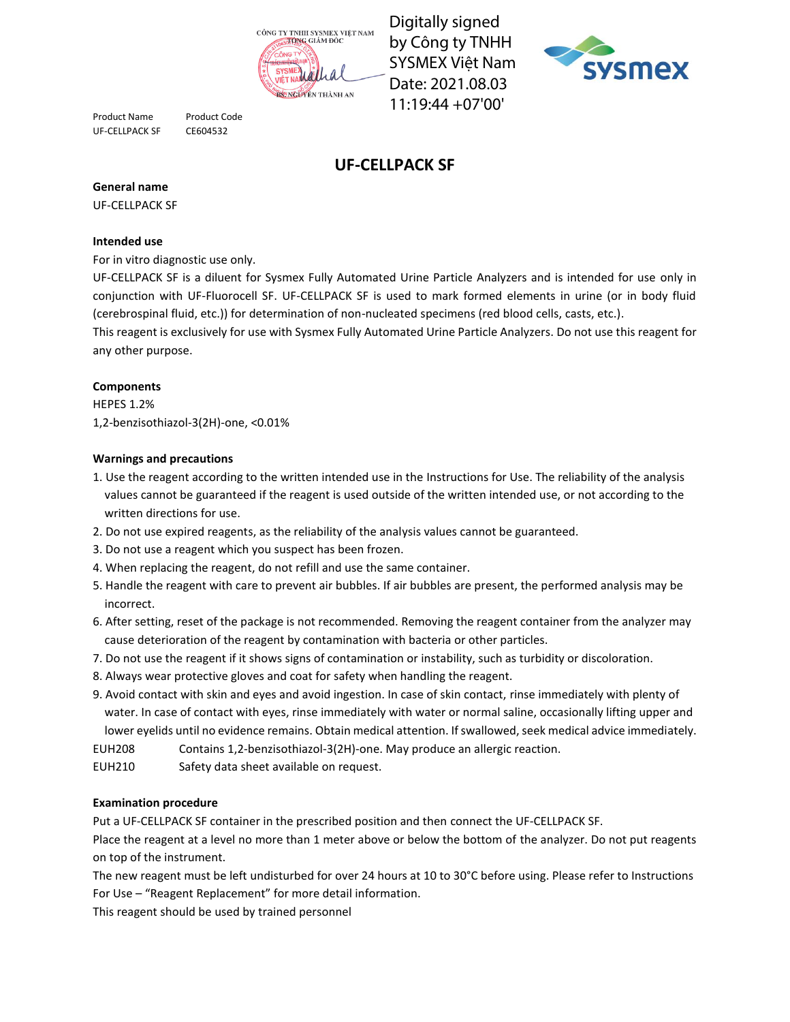

Digitally signed by Công ty TNHH SYSMEX Việt Nam Date: 2021.08.03 11:19:44 +07'00'



Product Name Product Code UF-CELLPACK SF CE604532

# **UF-CELLPACK SF**

### **General name**

UF-CELLPACK SF

### **Intended use**

For in vitro diagnostic use only.

UF-CELLPACK SF is a diluent for Sysmex Fully Automated Urine Particle Analyzers and is intended for use only in conjunction with UF-Fluorocell SF. UF-CELLPACK SF is used to mark formed elements in urine (or in body fluid (cerebrospinal fluid, etc.)) for determination of non-nucleated specimens (red blood cells, casts, etc.).

This reagent is exclusively for use with Sysmex Fully Automated Urine Particle Analyzers. Do not use this reagent for any other purpose.

## **Components**

HEPES 1.2% 1,2-benzisothiazol-3(2H)-one, <0.01%

#### **Warnings and precautions**

- 1. Use the reagent according to the written intended use in the Instructions for Use. The reliability of the analysis values cannot be guaranteed if the reagent is used outside of the written intended use, or not according to the written directions for use.
- 2. Do not use expired reagents, as the reliability of the analysis values cannot be guaranteed.
- 3. Do not use a reagent which you suspect has been frozen.
- 4. When replacing the reagent, do not refill and use the same container.
- 5. Handle the reagent with care to prevent air bubbles. If air bubbles are present, the performed analysis may be incorrect.
- 6. After setting, reset of the package is not recommended. Removing the reagent container from the analyzer may cause deterioration of the reagent by contamination with bacteria or other particles.
- 7. Do not use the reagent if it shows signs of contamination or instability, such as turbidity or discoloration.
- 8. Always wear protective gloves and coat for safety when handling the reagent.
- 9. Avoid contact with skin and eyes and avoid ingestion. In case of skin contact, rinse immediately with plenty of water. In case of contact with eyes, rinse immediately with water or normal saline, occasionally lifting upper and lower eyelids until no evidence remains. Obtain medical attention. If swallowed, seek medical advice immediately.
- EUH208 Contains 1,2-benzisothiazol-3(2H)-one. May produce an allergic reaction.
- EUH210 Safety data sheet available on request.

#### **Examination procedure**

Put a UF-CELLPACK SF container in the prescribed position and then connect the UF-CELLPACK SF.

Place the reagent at a level no more than 1 meter above or below the bottom of the analyzer. Do not put reagents on top of the instrument.

The new reagent must be left undisturbed for over 24 hours at 10 to 30°C before using. Please refer to Instructions For Use – "Reagent Replacement" for more detail information.

This reagent should be used by trained personnel